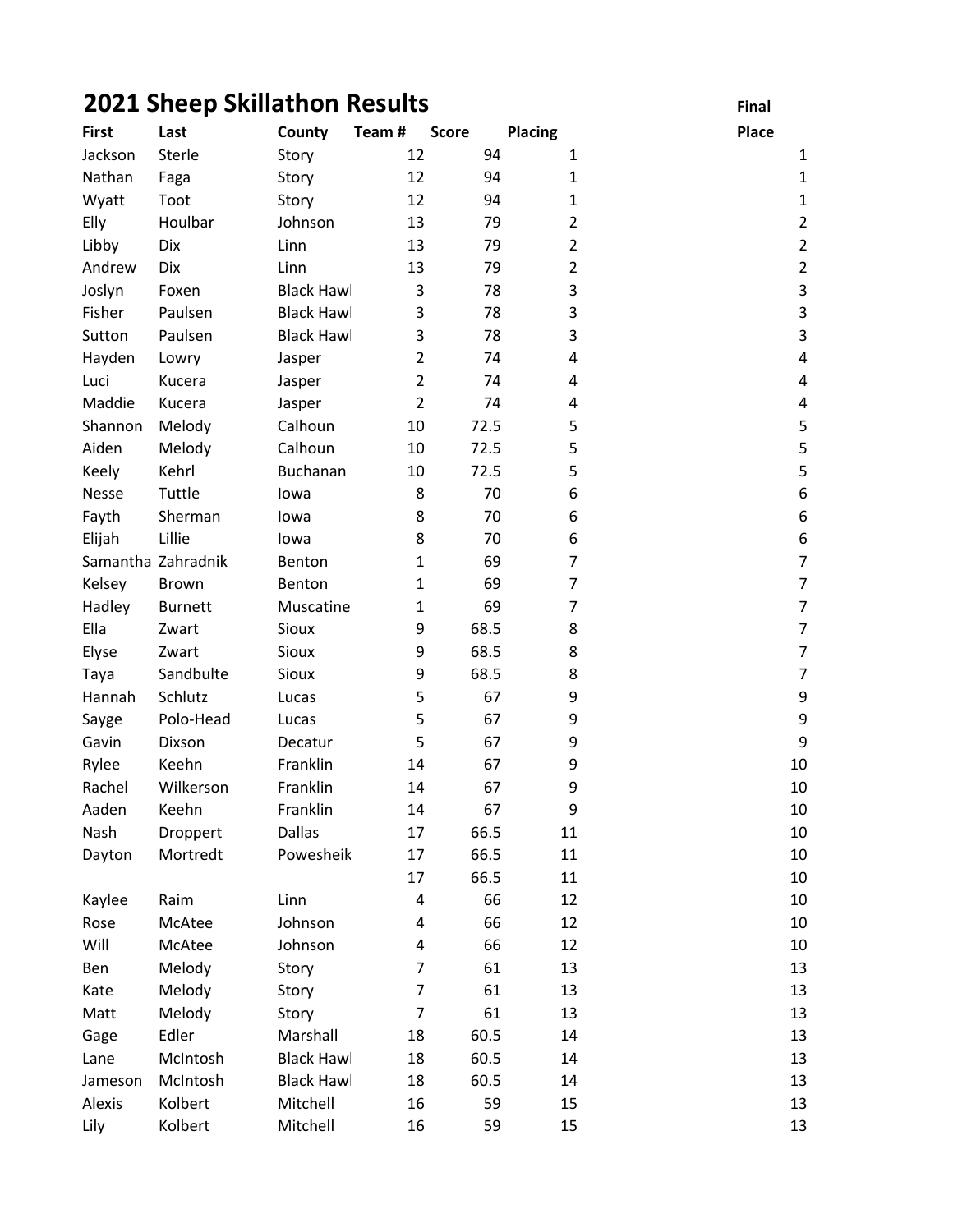## 2021 Sheep Skillathon Results Final

| <b>First</b> | Last               | County            | Team#          | <b>Score</b> | <b>Placing</b> | Place                   |
|--------------|--------------------|-------------------|----------------|--------------|----------------|-------------------------|
| Jackson      | Sterle             | Story             | 12             | 94           | $\mathbf{1}$   | 1                       |
| Nathan       | Faga               | Story             | 12             | 94           | $\mathbf{1}$   | $\mathbf{1}$            |
| Wyatt        | Toot               | Story             | 12             | 94           | $\mathbf{1}$   | $\mathbf{1}$            |
| Elly         | Houlbar            | Johnson           | 13             | 79           | $\overline{2}$ | $\overline{2}$          |
| Libby        | Dix                | Linn              | 13             | 79           | $\overline{2}$ | $\overline{2}$          |
| Andrew       | Dix                | Linn              | 13             | 79           | $\overline{2}$ | $\overline{2}$          |
| Joslyn       | Foxen              | <b>Black Hawl</b> | 3              | 78           | 3              | 3                       |
| Fisher       | Paulsen            | <b>Black Hawl</b> | 3              | 78           | 3              | 3                       |
| Sutton       | Paulsen            | <b>Black Hawl</b> | 3              | 78           | 3              | 3                       |
| Hayden       | Lowry              | Jasper            | $\overline{2}$ | 74           | 4              | 4                       |
| Luci         | Kucera             | Jasper            | $\overline{2}$ | 74           | 4              | $\overline{\mathbf{4}}$ |
| Maddie       | Kucera             | Jasper            | $\overline{2}$ | 74           | 4              | 4                       |
| Shannon      | Melody             | Calhoun           | 10             | 72.5         | 5              | 5                       |
| Aiden        | Melody             | Calhoun           | 10             | 72.5         | 5              | 5                       |
| Keely        | Kehrl              | Buchanan          | 10             | 72.5         | 5              | 5                       |
| Nesse        | Tuttle             | lowa              | 8              | 70           | 6              | $\boldsymbol{6}$        |
| Fayth        | Sherman            | lowa              | 8              | 70           | 6              | $\boldsymbol{6}$        |
| Elijah       | Lillie             | lowa              | 8              | 70           | 6              | $\boldsymbol{6}$        |
|              | Samantha Zahradnik | Benton            | 1              | 69           | 7              | $\overline{7}$          |
| Kelsey       | Brown              | Benton            | 1              | 69           | $\overline{7}$ | $\overline{7}$          |
| Hadley       | <b>Burnett</b>     | Muscatine         | 1              | 69           | 7              | $\overline{7}$          |
| Ella         | Zwart              | Sioux             | 9              | 68.5         | 8              | $\overline{7}$          |
| Elyse        | Zwart              | Sioux             | 9              | 68.5         | 8              | $\overline{7}$          |
| Taya         | Sandbulte          | Sioux             | 9              | 68.5         | 8              | $\overline{7}$          |
| Hannah       | Schlutz            | Lucas             | 5              | 67           | 9              | $\boldsymbol{9}$        |
| Sayge        | Polo-Head          | Lucas             | 5              | 67           | 9              | $\mathsf 9$             |
| Gavin        | Dixson             | Decatur           | 5              | 67           | 9              | 9                       |
| Rylee        | Keehn              | Franklin          | 14             | 67           | 9              | 10                      |
| Rachel       | Wilkerson          | Franklin          | 14             | 67           | 9              | 10                      |
| Aaden        | Keehn              | Franklin          | 14             | 67           | 9              | 10                      |
| Nash         | Droppert           | Dallas            | 17             | 66.5         | 11             | 10                      |
| Dayton       | Mortredt           | Powesheik         | 17             | 66.5         | 11             | 10                      |
|              |                    |                   | 17             | 66.5         | 11             | 10                      |
| Kaylee       | Raim               | Linn              | 4              | 66           | 12             | 10                      |
| Rose         | McAtee             | Johnson           | 4              | 66           | 12             | 10                      |
| Will         | McAtee             | Johnson           | 4              | 66           | 12             | 10                      |
| Ben          | Melody             | Story             | 7              | 61           | 13             | 13                      |
| Kate         | Melody             | Story             | $\overline{7}$ | 61           | 13             | 13                      |
| Matt         | Melody             | Story             | 7              | 61           | 13             | 13                      |
| Gage         | Edler              | Marshall          | 18             | 60.5         | 14             | 13                      |
| Lane         | McIntosh           | <b>Black Hawl</b> | 18             | 60.5         | 14             | 13                      |
| Jameson      | McIntosh           | <b>Black Hawl</b> | 18             | 60.5         | 14             | 13                      |
| Alexis       | Kolbert            | Mitchell          | 16             | 59           | 15             | 13                      |
| Lily         | Kolbert            | Mitchell          | 16             | 59           | 15             | 13                      |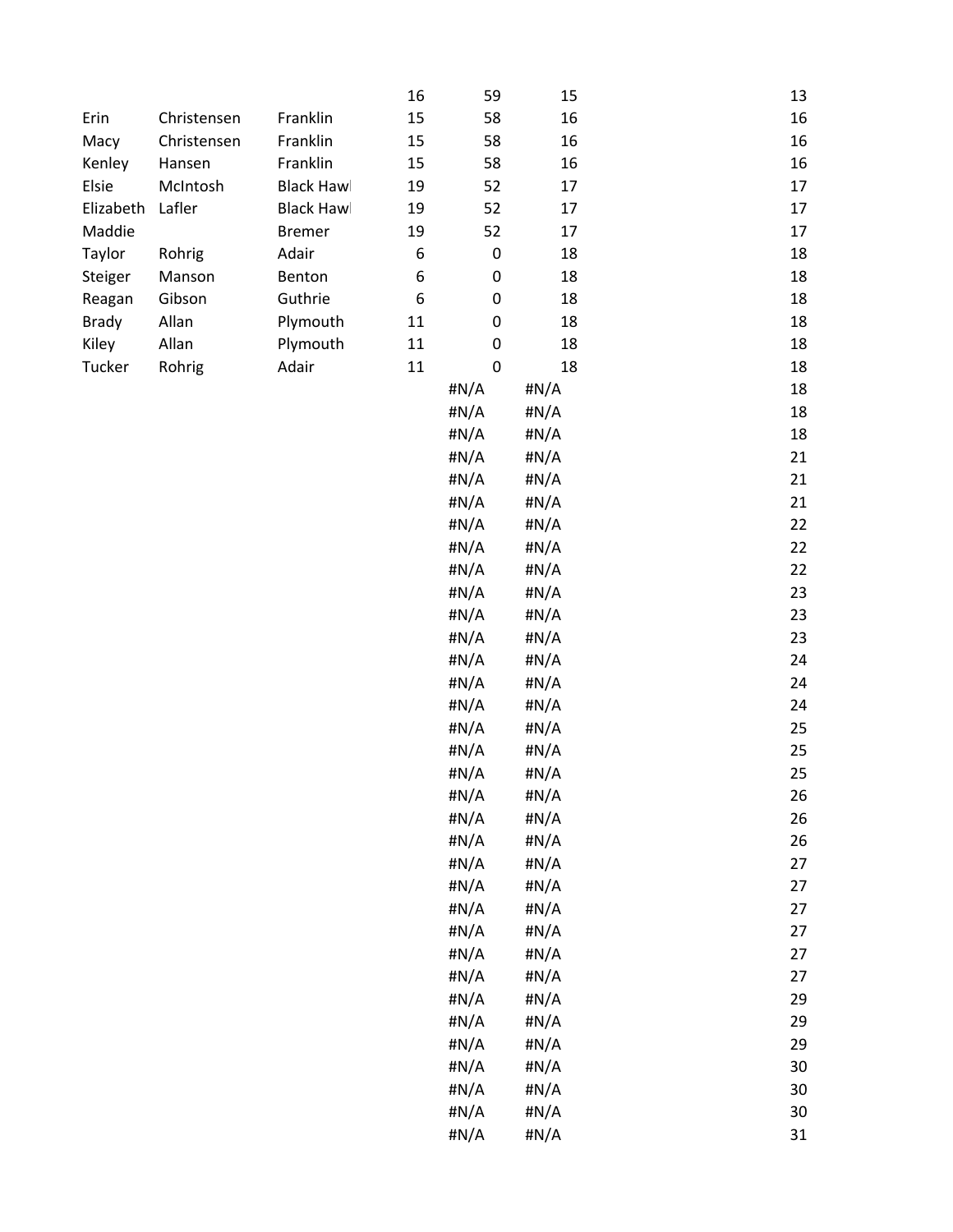|              |             |                   | 16               | 59        | 15   | 13     |
|--------------|-------------|-------------------|------------------|-----------|------|--------|
| Erin         | Christensen | Franklin          | 15               | 58        | 16   | 16     |
| Macy         | Christensen | Franklin          | 15               | 58        | 16   | 16     |
| Kenley       | Hansen      | Franklin          | 15               | 58        | 16   | 16     |
| Elsie        | McIntosh    | <b>Black Hawl</b> | 19               | 52        | 17   | 17     |
| Elizabeth    | Lafler      | <b>Black Hawl</b> | 19               | 52        | 17   | 17     |
| Maddie       |             | <b>Bremer</b>     | 19               | 52        | 17   | 17     |
| Taylor       | Rohrig      | Adair             | 6                | $\pmb{0}$ | 18   | 18     |
| Steiger      | Manson      | Benton            | 6                | $\pmb{0}$ | 18   | 18     |
| Reagan       | Gibson      | Guthrie           | $\boldsymbol{6}$ | $\pmb{0}$ | 18   | 18     |
| <b>Brady</b> | Allan       | Plymouth          | $11\,$           | 0         | 18   | 18     |
| Kiley        | Allan       | Plymouth          | 11               | $\pmb{0}$ | 18   | 18     |
| Tucker       | Rohrig      | Adair             | $11\,$           | $\pmb{0}$ | 18   | 18     |
|              |             |                   |                  | #N/A      | #N/A | 18     |
|              |             |                   |                  | #N/A      | #N/A | 18     |
|              |             |                   |                  | #N/A      | #N/A | 18     |
|              |             |                   |                  | #N/A      | #N/A | 21     |
|              |             |                   |                  | #N/A      | #N/A | 21     |
|              |             |                   |                  | #N/A      | #N/A | 21     |
|              |             |                   |                  | #N/A      | #N/A | 22     |
|              |             |                   |                  | #N/A      |      | 22     |
|              |             |                   |                  |           | #N/A |        |
|              |             |                   |                  | #N/A      | #N/A | 22     |
|              |             |                   |                  | #N/A      | #N/A | 23     |
|              |             |                   |                  | #N/A      | #N/A | 23     |
|              |             |                   |                  | #N/A      | #N/A | 23     |
|              |             |                   |                  | #N/A      | #N/A | 24     |
|              |             |                   |                  | #N/A      | #N/A | 24     |
|              |             |                   |                  | #N/A      | #N/A | 24     |
|              |             |                   |                  | #N/A      | #N/A | 25     |
|              |             |                   |                  | #N/A      | #N/A | 25     |
|              |             |                   |                  | #N/A      | #N/A | 25     |
|              |             |                   |                  | #N/A      | #N/A | 26     |
|              |             |                   |                  | #N/A      | #N/A | 26     |
|              |             |                   |                  | #N/A      | #N/A | 26     |
|              |             |                   |                  | #N/A      | #N/A | 27     |
|              |             |                   |                  | #N/A      | #N/A | 27     |
|              |             |                   |                  | #N/A      | #N/A | 27     |
|              |             |                   |                  | #N/A      | #N/A | 27     |
|              |             |                   |                  | #N/A      | #N/A | 27     |
|              |             |                   |                  | #N/A      | #N/A | 27     |
|              |             |                   |                  | #N/A      | #N/A | 29     |
|              |             |                   |                  | #N/A      | #N/A | 29     |
|              |             |                   |                  | #N/A      | #N/A | 29     |
|              |             |                   |                  | #N/A      | #N/A | 30     |
|              |             |                   |                  | #N/A      | #N/A | 30     |
|              |             |                   |                  | #N/A      | #N/A | $30\,$ |
|              |             |                   |                  | #N/A      | #N/A | 31     |
|              |             |                   |                  |           |      |        |